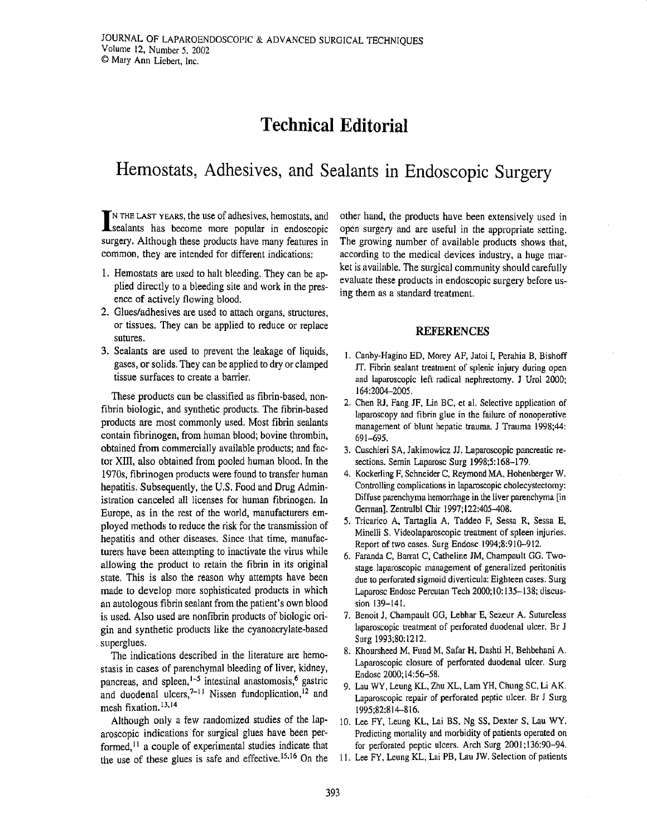## Technical Editorial

## Hemostats, Adhesives, and sealants in Endoscopic Surgery

fN rnE LASr yEARs, the use of adhesives, hemostats, and **L** sealants has become more popular in endoscopic surgery. Although these products have many features in common, they are intended for different indications:

- 1. Hemostats are used to halt bleeding. They can be applied directly to a bleeding site and work in the presence of actively flowing blood.
- 2. Glues/adhesives are used to attach organs, structures, or tissues. They can be applied to reduce or replace sufures.
- 3. Sealants are used to prevent the leakage of liquids, gases, or solids. They can be applied to dry or clamped tissue surfaces to create a barier,

These products can be classitied as fibrin-based, nonfibrin biologic, and synthetic products. The fibrin-based products are most commonly used. Most fibrin sealants contain fibrinogen, from human blood; bovine thrombin, obtained from commercially available products; and factor XIII, also obtained from pooled human blood, In the 1970s, fibrinogen products were found to transfer human hepatitis, Subsequently, the U.S, Food and Drug Administration canceled all licenses for human fibrinogen. In Europe, as in the rest of the world, manufacturers employed methods to reduce the risk for the transmission of hepatitis and other diseases. Since that time, manufacturers have been attempting to inactivate the virus while allowing the product to retain the fibrin in its original state. This is also the reason why attempts have been made to develop more sophisticated products in which an autologous fibrin sealant from the patient's own blood is used. Also used are nonfibrin products of biologic origin and synthetic products like the cyanoacrylate-based superglues.

The indications described in the literature are hemostasis in cases of parenchymal bleeding of liver, kidney, pancreas, and spleen, $\frac{1-5}{1}$  intestinal anastomosis,<sup>6</sup> gastric and duodenal ulcers,<sup> $7-11$ </sup> Nissen fundoplication,<sup>12</sup> and mesh fixation.<sup>13,14</sup>

Although only a few randomized studies of the laparoscopic indications for surgical glues have been performed,<sup> $11$ </sup> a couple of experimental studies indicate that the use of these glues is safe and effective.<sup>15,16</sup> On the

other hand, the products have been extensively used in open surgery and are useful in the appropriate setting. The growing number of available products shows that, according to the medical devices industry, a huge market is available. The surgical community should carefully evaluate these products in endoscopic surgery before using them as a standard treatment.

## REFERENCES

- l. Canby-Hagino ED, Morey AF, Jatoi I, Pemhia B, Bishoff IT. Fibrin sealant treatment of splenic injury during open and laparoscopic left rodical nephrectomy. J Urol 2000: 164:2004-2005.
- 2. Chen RJ, Fang JF, Lin BC, et al. Selective application of laparoscopy and fibrin glue in the failure of nonoperative management of blunt hepatic trauma. J Trauma 1998:44: 691-69s.
- 3. Cuschieri SA, Jakimowicz JJ. Laparoscopic pancreatic resections. Semin Laparosc Surg 1998;5:168-179.
- 4. Kockerling F, Schneider C, Reymond MA, Hohenberger W. Controlling complications in laparoscopic cholecystectomy: Diffuse parenchyma hemorrhage in the liver parenchyma [in] Germanl, Zentralbl Chir 1997; 122:405-408.
- 5. Tricarico A, Tartaglia A, Taddeo F, Sessa R, Sessa E, Minelli S. Videolaparoscopic treatment of spleen injuries. Report of two cases. Surg Endosc 1994;8:910-912.
- 6. Faranda C, Barat C, Catheline JM, Champault GG. Twostage laparoscopic management of generalized peritonitis due to perforated sigmoid diverticula: Eighteen cases. Surg Laparosc Endosc Percutan Tech 2000;10:135-138; discussion 139-141.
- 7. Benoit J, Champault GG, Lebhar E, Sezeur A, Sutureless laparoscopic treatment of perforated duodenal ulcer. Br J Surg 1993;80:1212.
- 8. Klroursheed M, Fuad M, Safar H, Dashti H, Behbehani A. Laparoscopic closure of perforated duodenal ulcer. Surg Endosc 2000;14:56-58.
- 9. Lau WY, Leung KL, Zhu XL, Lam YH, Chung SC, Li AK. Laparoscopic repair of perforated peptic ulcer. Br J Surg 1995;82:814-8 16.
- 10. Lee FY, Leung KL, Lai BS, Ng SS, Dexter S, Lau WY. Predicting mortality and morbidity of patients operated on for perforated peptic ulcers. Arch Surg 2001;136:90-94,
- 11. Lee FY, Leung KL, Lai PB, Lau JW. Selection of patients